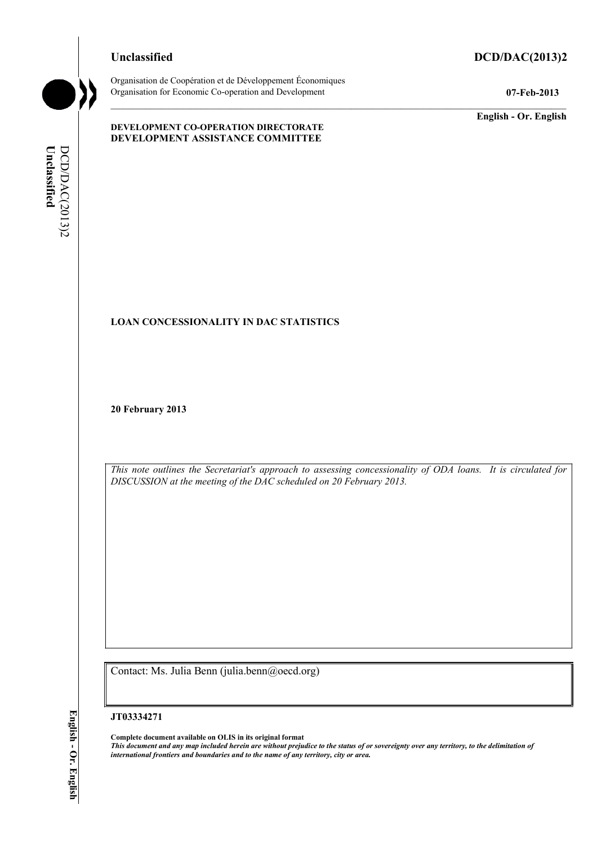# **Unclassified DCD/DAC(2013)2**



Organisation de Coopération et de Développement Économiques Organisation for Economic Co-operation and Development **07-Feb-2013** 

**DEVELOPMENT CO-OPERATION DIRECTORATE DEVELOPMENT ASSISTANCE COMMITTEE** 

**English - Or. English** 

# **DCD/DAC(2013)2** Unclassified **Unclassified**  DCD/DAC(2013)2

# **LOAN CONCESSIONALITY IN DAC STATISTICS**

**20 February 2013** 

*This note outlines the Secretariat's approach to assessing concessionality of ODA loans. It is circulated for DISCUSSION at the meeting of the DAC scheduled on 20 February 2013.* 

Contact: Ms. Julia Benn (julia.benn@oecd.org)

#### **JT03334271**

**Complete document available on OLIS in its original format** *This document and any map included herein are without prejudice to the status of or sovereignty over any territory, to the delimitation of international frontiers and boundaries and to the name of any territory, city or area.*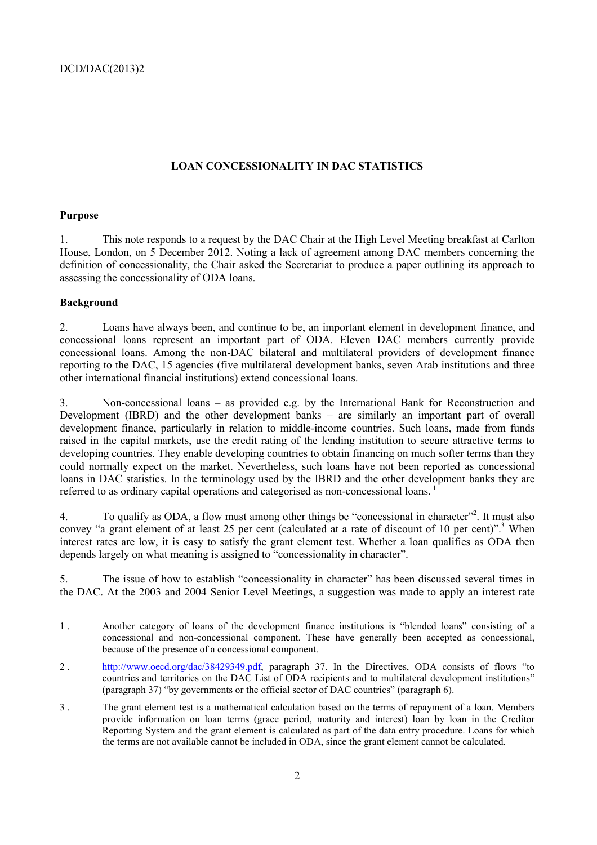# **LOAN CONCESSIONALITY IN DAC STATISTICS**

# **Purpose**

1. This note responds to a request by the DAC Chair at the High Level Meeting breakfast at Carlton House, London, on 5 December 2012. Noting a lack of agreement among DAC members concerning the definition of concessionality, the Chair asked the Secretariat to produce a paper outlining its approach to assessing the concessionality of ODA loans.

# **Background**

 $\overline{a}$ 

2. Loans have always been, and continue to be, an important element in development finance, and concessional loans represent an important part of ODA. Eleven DAC members currently provide concessional loans. Among the non-DAC bilateral and multilateral providers of development finance reporting to the DAC, 15 agencies (five multilateral development banks, seven Arab institutions and three other international financial institutions) extend concessional loans.

3. Non-concessional loans – as provided e.g. by the International Bank for Reconstruction and Development (IBRD) and the other development banks – are similarly an important part of overall development finance, particularly in relation to middle-income countries. Such loans, made from funds raised in the capital markets, use the credit rating of the lending institution to secure attractive terms to developing countries. They enable developing countries to obtain financing on much softer terms than they could normally expect on the market. Nevertheless, such loans have not been reported as concessional loans in DAC statistics. In the terminology used by the IBRD and the other development banks they are referred to as ordinary capital operations and categorised as non-concessional loans.<sup>1</sup>

4. To qualify as ODA, a flow must among other things be "concessional in character"<sup>2</sup>. It must also convey "a grant element of at least 25 per cent (calculated at a rate of discount of 10 per cent)".<sup>3</sup> When interest rates are low, it is easy to satisfy the grant element test. Whether a loan qualifies as ODA then depends largely on what meaning is assigned to "concessionality in character".

5. The issue of how to establish "concessionality in character" has been discussed several times in the DAC. At the 2003 and 2004 Senior Level Meetings, a suggestion was made to apply an interest rate

<sup>1 .</sup> Another category of loans of the development finance institutions is "blended loans" consisting of a concessional and non-concessional component. These have generally been accepted as concessional, because of the presence of a concessional component.

<sup>2 .</sup> http://www.oecd.org/dac/38429349.pdf, paragraph 37. In the Directives, ODA consists of flows "to countries and territories on the DAC List of ODA recipients and to multilateral development institutions" (paragraph 37) "by governments or the official sector of DAC countries" (paragraph 6).

<sup>3 .</sup> The grant element test is a mathematical calculation based on the terms of repayment of a loan. Members provide information on loan terms (grace period, maturity and interest) loan by loan in the Creditor Reporting System and the grant element is calculated as part of the data entry procedure. Loans for which the terms are not available cannot be included in ODA, since the grant element cannot be calculated.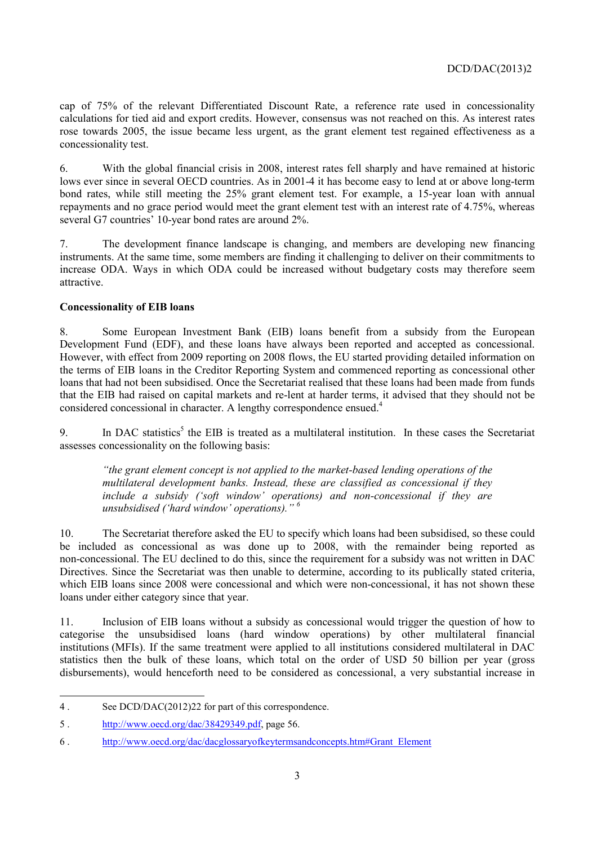cap of 75% of the relevant Differentiated Discount Rate, a reference rate used in concessionality calculations for tied aid and export credits. However, consensus was not reached on this. As interest rates rose towards 2005, the issue became less urgent, as the grant element test regained effectiveness as a concessionality test.

6. With the global financial crisis in 2008, interest rates fell sharply and have remained at historic lows ever since in several OECD countries. As in 2001-4 it has become easy to lend at or above long-term bond rates, while still meeting the 25% grant element test. For example, a 15-year loan with annual repayments and no grace period would meet the grant element test with an interest rate of 4.75%, whereas several G7 countries' 10-year bond rates are around 2%.

7. The development finance landscape is changing, and members are developing new financing instruments. At the same time, some members are finding it challenging to deliver on their commitments to increase ODA. Ways in which ODA could be increased without budgetary costs may therefore seem attractive.

#### **Concessionality of EIB loans**

8. Some European Investment Bank (EIB) loans benefit from a subsidy from the European Development Fund (EDF), and these loans have always been reported and accepted as concessional. However, with effect from 2009 reporting on 2008 flows, the EU started providing detailed information on the terms of EIB loans in the Creditor Reporting System and commenced reporting as concessional other loans that had not been subsidised. Once the Secretariat realised that these loans had been made from funds that the EIB had raised on capital markets and re-lent at harder terms, it advised that they should not be considered concessional in character. A lengthy correspondence ensued.<sup>4</sup>

9. In DAC statistics<sup>5</sup> the EIB is treated as a multilateral institution. In these cases the Secretariat assesses concessionality on the following basis:

*"the grant element concept is not applied to the market-based lending operations of the multilateral development banks. Instead, these are classified as concessional if they include a subsidy ('soft window' operations) and non-concessional if they are unsubsidised ('hard window' operations)." 6*

10. The Secretariat therefore asked the EU to specify which loans had been subsidised, so these could be included as concessional as was done up to 2008, with the remainder being reported as non-concessional. The EU declined to do this, since the requirement for a subsidy was not written in DAC Directives. Since the Secretariat was then unable to determine, according to its publically stated criteria, which EIB loans since 2008 were concessional and which were non-concessional, it has not shown these loans under either category since that year.

11. Inclusion of EIB loans without a subsidy as concessional would trigger the question of how to categorise the unsubsidised loans (hard window operations) by other multilateral financial institutions (MFIs). If the same treatment were applied to all institutions considered multilateral in DAC statistics then the bulk of these loans, which total on the order of USD 50 billion per year (gross disbursements), would henceforth need to be considered as concessional, a very substantial increase in

 $\overline{a}$ 

<sup>4 .</sup> See DCD/DAC(2012)22 for part of this correspondence.

<sup>5 .</sup> http://www.oecd.org/dac/38429349.pdf, page 56.

<sup>6 .</sup> http://www.oecd.org/dac/dacglossaryofkeytermsandconcepts.htm#Grant\_Element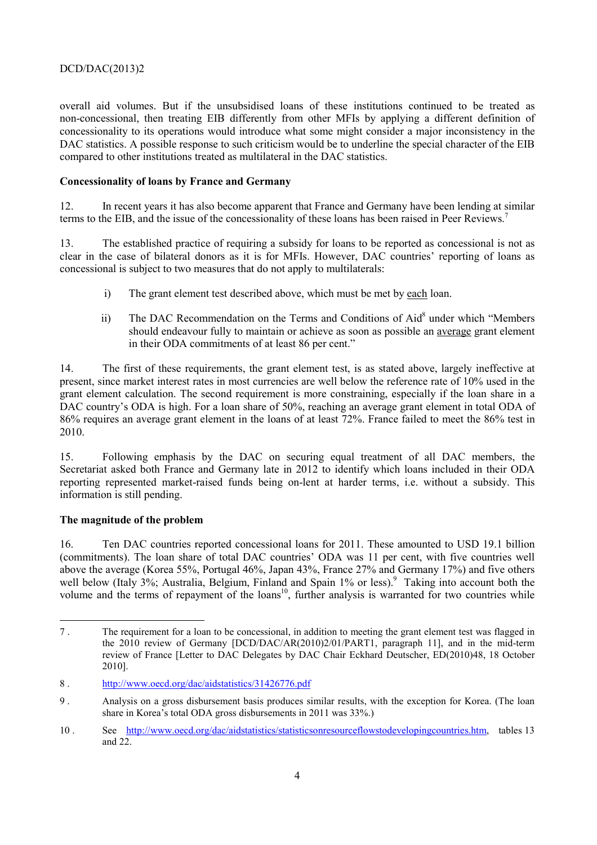# DCD/DAC(2013)2

overall aid volumes. But if the unsubsidised loans of these institutions continued to be treated as non-concessional, then treating EIB differently from other MFIs by applying a different definition of concessionality to its operations would introduce what some might consider a major inconsistency in the DAC statistics. A possible response to such criticism would be to underline the special character of the EIB compared to other institutions treated as multilateral in the DAC statistics.

#### **Concessionality of loans by France and Germany**

12. In recent years it has also become apparent that France and Germany have been lending at similar terms to the EIB, and the issue of the concessionality of these loans has been raised in Peer Reviews.7

13. The established practice of requiring a subsidy for loans to be reported as concessional is not as clear in the case of bilateral donors as it is for MFIs. However, DAC countries' reporting of loans as concessional is subject to two measures that do not apply to multilaterals:

- i) The grant element test described above, which must be met by each loan.
- ii) The DAC Recommendation on the Terms and Conditions of Aid<sup>8</sup> under which "Members should endeavour fully to maintain or achieve as soon as possible an average grant element in their ODA commitments of at least 86 per cent."

14. The first of these requirements, the grant element test, is as stated above, largely ineffective at present, since market interest rates in most currencies are well below the reference rate of 10% used in the grant element calculation. The second requirement is more constraining, especially if the loan share in a DAC country's ODA is high. For a loan share of 50%, reaching an average grant element in total ODA of 86% requires an average grant element in the loans of at least 72%. France failed to meet the 86% test in 2010.

15. Following emphasis by the DAC on securing equal treatment of all DAC members, the Secretariat asked both France and Germany late in 2012 to identify which loans included in their ODA reporting represented market-raised funds being on-lent at harder terms, i.e. without a subsidy. This information is still pending.

#### **The magnitude of the problem**

 $\overline{a}$ 

16. Ten DAC countries reported concessional loans for 2011. These amounted to USD 19.1 billion (commitments). The loan share of total DAC countries' ODA was 11 per cent, with five countries well above the average (Korea 55%, Portugal 46%, Japan 43%, France 27% and Germany 17%) and five others well below (Italy 3%; Australia, Belgium, Finland and Spain 1% or less).<sup>9</sup> Taking into account both the volume and the terms of repayment of the loans<sup>10</sup>, further analysis is warranted for two countries while

<sup>7 .</sup> The requirement for a loan to be concessional, in addition to meeting the grant element test was flagged in the 2010 review of Germany [DCD/DAC/AR(2010)2/01/PART1, paragraph 11], and in the mid-term review of France [Letter to DAC Delegates by DAC Chair Eckhard Deutscher, ED(2010)48, 18 October 2010].

<sup>8 .</sup> http://www.oecd.org/dac/aidstatistics/31426776.pdf

<sup>9 .</sup> Analysis on a gross disbursement basis produces similar results, with the exception for Korea. (The loan share in Korea's total ODA gross disbursements in 2011 was 33%.)

<sup>10 .</sup> See http://www.oecd.org/dac/aidstatistics/statisticsonresourceflowstodevelopingcountries.htm, tables 13 and 22.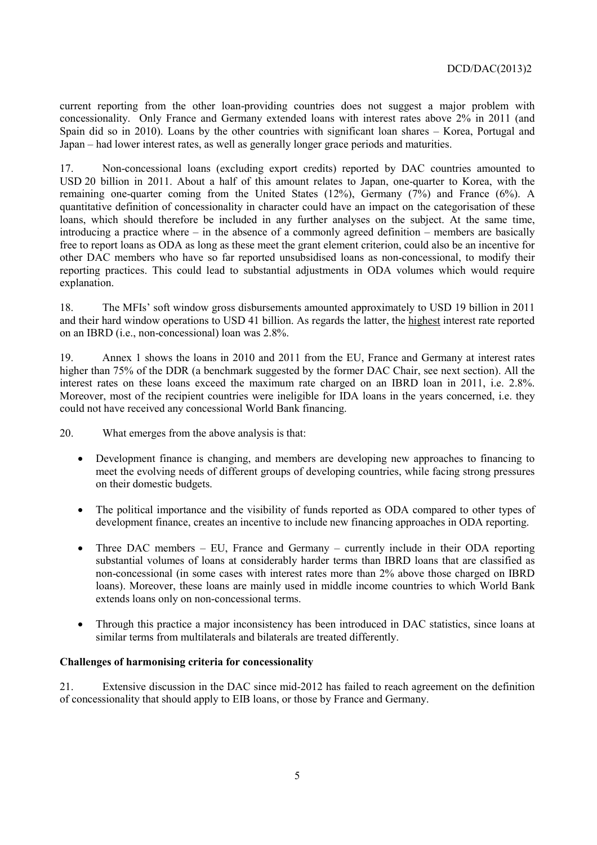current reporting from the other loan-providing countries does not suggest a major problem with concessionality. Only France and Germany extended loans with interest rates above 2% in 2011 (and Spain did so in 2010). Loans by the other countries with significant loan shares – Korea, Portugal and Japan – had lower interest rates, as well as generally longer grace periods and maturities.

17. Non-concessional loans (excluding export credits) reported by DAC countries amounted to USD 20 billion in 2011. About a half of this amount relates to Japan, one-quarter to Korea, with the remaining one-quarter coming from the United States (12%), Germany (7%) and France (6%). A quantitative definition of concessionality in character could have an impact on the categorisation of these loans, which should therefore be included in any further analyses on the subject. At the same time, introducing a practice where – in the absence of a commonly agreed definition – members are basically free to report loans as ODA as long as these meet the grant element criterion, could also be an incentive for other DAC members who have so far reported unsubsidised loans as non-concessional, to modify their reporting practices. This could lead to substantial adjustments in ODA volumes which would require explanation.

18. The MFIs' soft window gross disbursements amounted approximately to USD 19 billion in 2011 and their hard window operations to USD 41 billion. As regards the latter, the highest interest rate reported on an IBRD (i.e., non-concessional) loan was 2.8%.

19. Annex 1 shows the loans in 2010 and 2011 from the EU, France and Germany at interest rates higher than 75% of the DDR (a benchmark suggested by the former DAC Chair, see next section). All the interest rates on these loans exceed the maximum rate charged on an IBRD loan in 2011, i.e. 2.8%. Moreover, most of the recipient countries were ineligible for IDA loans in the years concerned, i.e. they could not have received any concessional World Bank financing.

20. What emerges from the above analysis is that:

- Development finance is changing, and members are developing new approaches to financing to meet the evolving needs of different groups of developing countries, while facing strong pressures on their domestic budgets.
- The political importance and the visibility of funds reported as ODA compared to other types of development finance, creates an incentive to include new financing approaches in ODA reporting.
- Three DAC members EU, France and Germany currently include in their ODA reporting substantial volumes of loans at considerably harder terms than IBRD loans that are classified as non-concessional (in some cases with interest rates more than 2% above those charged on IBRD loans). Moreover, these loans are mainly used in middle income countries to which World Bank extends loans only on non-concessional terms.
- Through this practice a major inconsistency has been introduced in DAC statistics, since loans at similar terms from multilaterals and bilaterals are treated differently.

#### **Challenges of harmonising criteria for concessionality**

21. Extensive discussion in the DAC since mid-2012 has failed to reach agreement on the definition of concessionality that should apply to EIB loans, or those by France and Germany.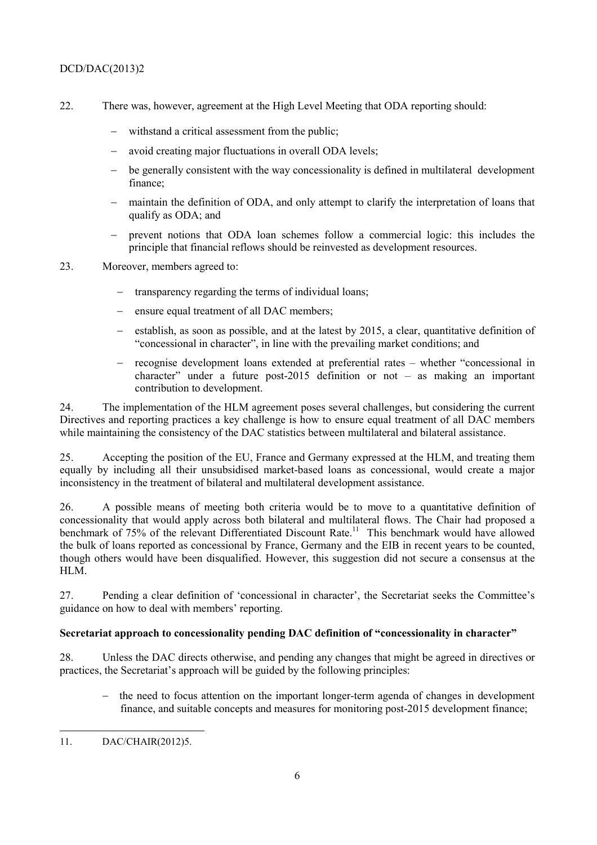# DCD/DAC(2013)2

- 22. There was, however, agreement at the High Level Meeting that ODA reporting should:
	- withstand a critical assessment from the public:
	- avoid creating major fluctuations in overall ODA levels;
	- be generally consistent with the way concessionality is defined in multilateral development finance;
	- − maintain the definition of ODA, and only attempt to clarify the interpretation of loans that qualify as ODA; and
	- prevent notions that ODA loan schemes follow a commercial logic: this includes the principle that financial reflows should be reinvested as development resources.
- 23. Moreover, members agreed to:
	- transparency regarding the terms of individual loans;
	- ensure equal treatment of all DAC members;
	- establish, as soon as possible, and at the latest by 2015, a clear, quantitative definition of "concessional in character", in line with the prevailing market conditions; and
	- − recognise development loans extended at preferential rates whether "concessional in character" under a future post-2015 definition or not – as making an important contribution to development.

24. The implementation of the HLM agreement poses several challenges, but considering the current Directives and reporting practices a key challenge is how to ensure equal treatment of all DAC members while maintaining the consistency of the DAC statistics between multilateral and bilateral assistance.

25. Accepting the position of the EU, France and Germany expressed at the HLM, and treating them equally by including all their unsubsidised market-based loans as concessional, would create a major inconsistency in the treatment of bilateral and multilateral development assistance.

26. A possible means of meeting both criteria would be to move to a quantitative definition of concessionality that would apply across both bilateral and multilateral flows. The Chair had proposed a benchmark of 75% of the relevant Differentiated Discount Rate.<sup>11</sup> This benchmark would have allowed the bulk of loans reported as concessional by France, Germany and the EIB in recent years to be counted, though others would have been disqualified. However, this suggestion did not secure a consensus at the HLM.

27. Pending a clear definition of 'concessional in character', the Secretariat seeks the Committee's guidance on how to deal with members' reporting.

#### **Secretariat approach to concessionality pending DAC definition of "concessionality in character"**

28. Unless the DAC directs otherwise, and pending any changes that might be agreed in directives or practices, the Secretariat's approach will be guided by the following principles:

the need to focus attention on the important longer-term agenda of changes in development finance, and suitable concepts and measures for monitoring post-2015 development finance;

 11. DAC/CHAIR(2012)5.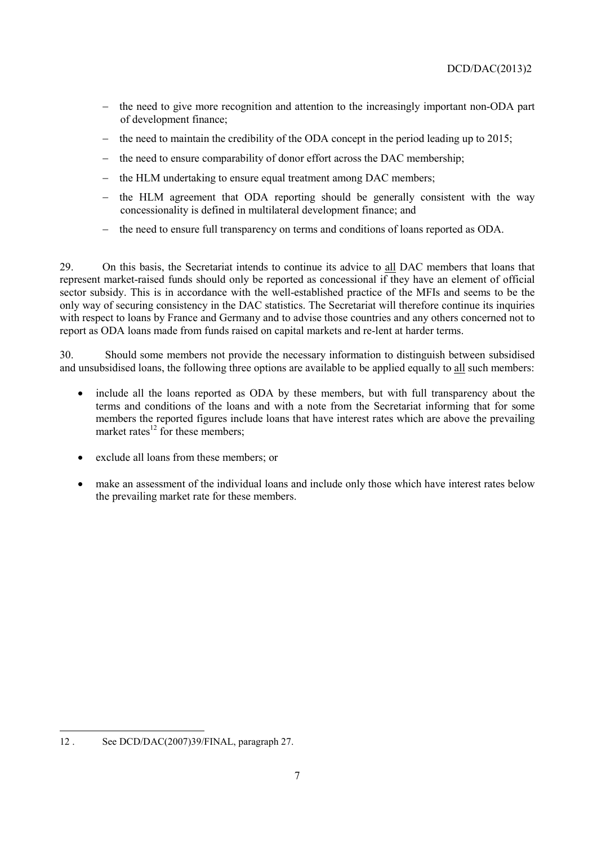- the need to give more recognition and attention to the increasingly important non-ODA part of development finance;
- the need to maintain the credibility of the ODA concept in the period leading up to 2015;
- the need to ensure comparability of donor effort across the DAC membership;
- the HLM undertaking to ensure equal treatment among DAC members;
- the HLM agreement that ODA reporting should be generally consistent with the way concessionality is defined in multilateral development finance; and
- the need to ensure full transparency on terms and conditions of loans reported as ODA.

29. On this basis, the Secretariat intends to continue its advice to all DAC members that loans that represent market-raised funds should only be reported as concessional if they have an element of official sector subsidy. This is in accordance with the well-established practice of the MFIs and seems to be the only way of securing consistency in the DAC statistics. The Secretariat will therefore continue its inquiries with respect to loans by France and Germany and to advise those countries and any others concerned not to report as ODA loans made from funds raised on capital markets and re-lent at harder terms.

30. Should some members not provide the necessary information to distinguish between subsidised and unsubsidised loans, the following three options are available to be applied equally to all such members:

- include all the loans reported as ODA by these members, but with full transparency about the terms and conditions of the loans and with a note from the Secretariat informing that for some members the reported figures include loans that have interest rates which are above the prevailing market rates $^{12}$  for these members:
- exclude all loans from these members; or
- make an assessment of the individual loans and include only those which have interest rates below the prevailing market rate for these members.

<sup>12 .</sup> See DCD/DAC(2007)39/FINAL, paragraph 27.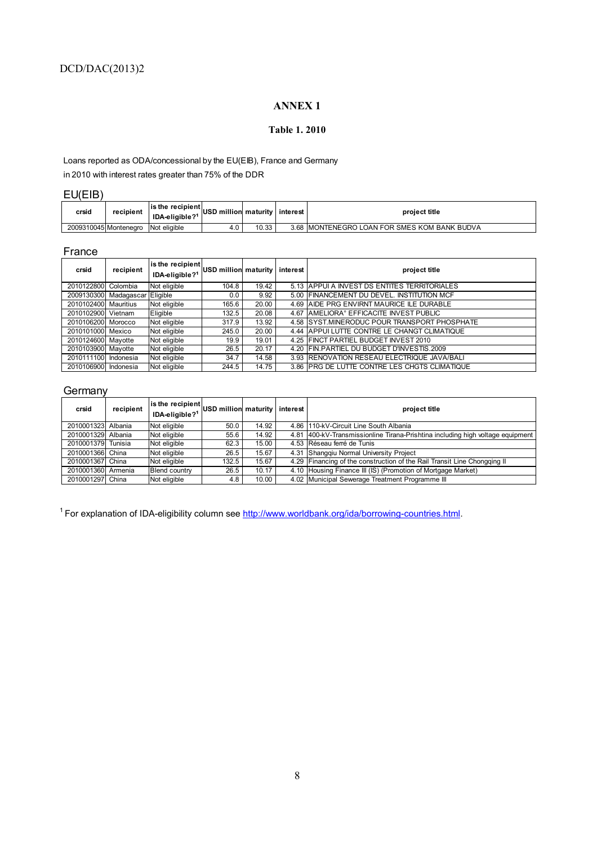# **ANNEX 1**

#### **Table 1. 2010**

Loans reported as ODA/concessional by the EU(EIB), France and Germany in 2010 with interest rates greater than 75% of the DDR

# EU(EIB)

| crsid | recipient             | <b>lis the recipient</b><br>IDA-eligible? <sup>1</sup> | USD million maturity I interest |       | project title                                 |
|-------|-----------------------|--------------------------------------------------------|---------------------------------|-------|-----------------------------------------------|
|       | 2009310045 Montenegro | Not eligible                                           | 4.0                             | 10.33 | 3.68 IMONTENEGRO LOAN FOR SMES KOM BANK BUDVA |

### France

| crsid                | recipient                      | is the recipient<br>IDA-eligible?1 | USD million maturity |       | interest | project title                                       |
|----------------------|--------------------------------|------------------------------------|----------------------|-------|----------|-----------------------------------------------------|
| 2010122800 Colombia  |                                | Not eligible                       | 104.8                | 19.42 |          | 5.13 APPUI A INVEST DS ENTITES TERRITORIALES        |
|                      | 2009130300 Madagascar Eligible |                                    | 0.0                  | 9.92  |          | 5.00 FINANCEMENT DU DEVEL. INSTITUTION MCF          |
| 2010102400 Mauritius |                                | Not eligible                       | 165.6                | 20.00 |          | 4.69 AIDE PRG ENVIRNT MAURICE ILE DURABLE           |
| 2010102900 Vietnam   |                                | Eligible                           | 132.5                | 20.08 |          | 4.67 AMELIORA <sup>®</sup> EFFICACITE INVEST PUBLIC |
| 2010106200 Morocco   |                                | Not eligible                       | 317.9                | 13.92 |          | 4.58 ISYST.MINERODUC POUR TRANSPORT PHOSPHATE       |
| 2010101000 Mexico    |                                | Not eligible                       | 245.0                | 20.00 |          | 4.44 APPUI LUTTE CONTRE LE CHANGT CLIMATIQUE        |
| 2010124600 Mayotte   |                                | Not eligible                       | 19.9                 | 19.01 |          | 4.25 FINCT PARTIEL BUDGET INVEST 2010               |
| 2010103900 Mayotte   |                                | Not eligible                       | 26.5                 | 20.17 |          | 4.20 FIN.PARTIEL DU BUDGET D'INVESTIS.2009          |
| 2010111100 Indonesia |                                | Not eligible                       | 34.7                 | 14.58 |          | 3.93 RENOVATION RESEAU ELECTRIQUE JAVA/BALI         |
| 2010106900 Indonesia |                                | Not eligible                       | 244.5                | 14.75 |          | 3.86 IPRG DE LUTTE CONTRE LES CHGTS CLIMATIQUE      |

# Germany

| crsid              | recipient | is the recipient  <br>  IDA-eligible? <sup>1</sup>   USD million   maturity   interest |       |       |      | project title                                                             |
|--------------------|-----------|----------------------------------------------------------------------------------------|-------|-------|------|---------------------------------------------------------------------------|
| 2010001323 Albania |           | Not eligible                                                                           | 50.0  | 14.92 |      | 4.86 110-kV-Circuit Line South Albania                                    |
| 2010001329 Albania |           | Not eligible                                                                           | 55.6  | 14.92 | 4.81 | 400-kV-Transmissionline Tirana-Prishtina including high voltage equipment |
| 2010001379 Tunisia |           | Not eligible                                                                           | 62.3  | 15.00 |      | 4.53 Réseau ferré de Tunis                                                |
| 2010001366 China   |           | Not eligible                                                                           | 26.5  | 15.67 |      | 4.31 Shangqiu Normal University Project                                   |
| 2010001367 China   |           | Not eligible                                                                           | 132.5 | 15.67 |      | 4.29 Financing of the construction of the Rail Transit Line Chongging II  |
| 2010001360 Armenia |           | <b>Blend country</b>                                                                   | 26.5  | 10.17 |      | 4.10 Housing Finance III (IS) (Promotion of Mortgage Market)              |
| 2010001297 China   |           | Not eligible                                                                           | 4.8   | 10.00 |      | 4.02 Municipal Sewerage Treatment Programme III                           |

<sup>1</sup> For explanation of IDA-eligibility column see http://www.worldbank.org/ida/borrowing-countries.html.